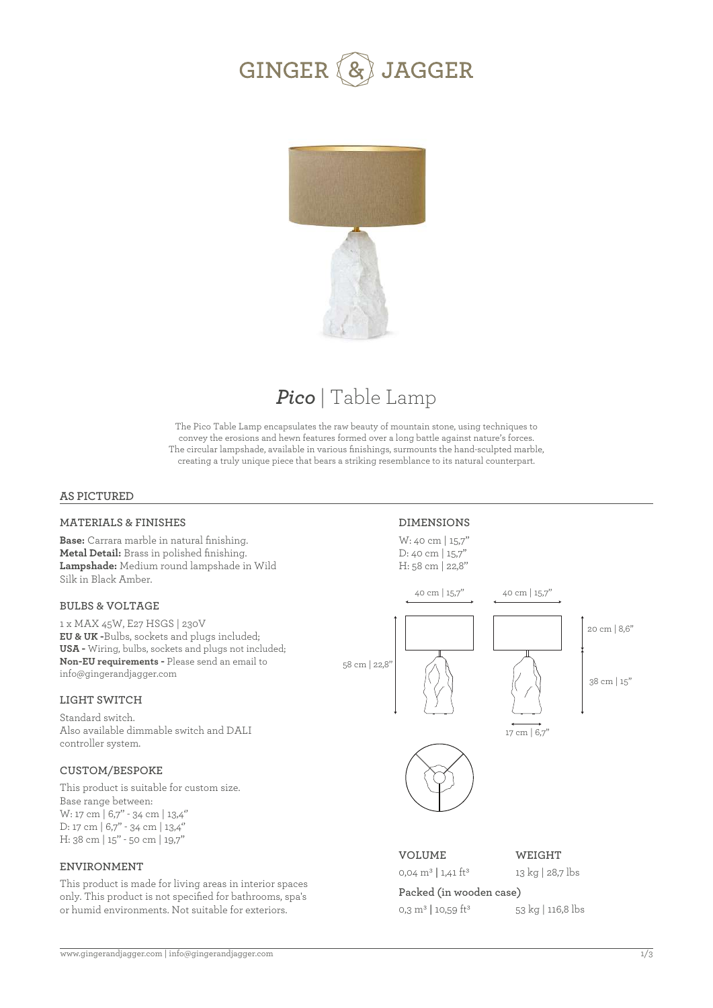



## *Pico* | Table Lamp

The Pico Table Lamp encapsulates the raw beauty of mountain stone, using techniques to convey the erosions and hewn features formed over a long battle against nature's forces. The circular lampshade, available in various finishings, surmounts the hand-sculpted marble, creating a truly unique piece that bears a striking resemblance to its natural counterpart.

### **AS PICTURED**

### **MATERIALS & FINISHES**

**Base:** Carrara marble in natural finishing. **Metal Detail:** Brass in polished finishing. **Lampshade:** Medium round lampshade in Wild Silk in Black Amber.

### **BULBS & VOLTAGE**

1 x MAX 45W, E27 HSGS | 230V **EU & UK -**Bulbs, sockets and plugs included; **USA -** Wiring, bulbs, sockets and plugs not included; **Non-EU requirements -** Please send an email to info@gingerandjagger.com

### **LIGHT SWITCH**

Standard switch. Also available dimmable switch and DALI controller system.

### **CUSTOM/BESPOKE**

This product is suitable for custom size. Base range between: W: 17 cm | 6,7'' - 34 cm | 13,4'' D: 17 cm | 6,7" - 34 cm | 13,4" H: 38 cm | 15'' - 50 cm | 19,7''

#### **ENVIRONMENT**

This product is made for living areas in interior spaces only. This product is not specified for bathrooms, spa's or humid environments. Not suitable for exteriors.

### **DIMENSIONS**

W: 40 cm | 15,7'' D: 40 cm | 15,7" H: 58 cm | 22,8''



### **VOLUME**

0,04 m3 **|** 1,41 ft3

**WEIGHT** 13 kg | 28,7 lbs

## **Packed (in wooden case)**

0,3 m3 **|** 10,59 ft3

53 kg | 116,8 lbs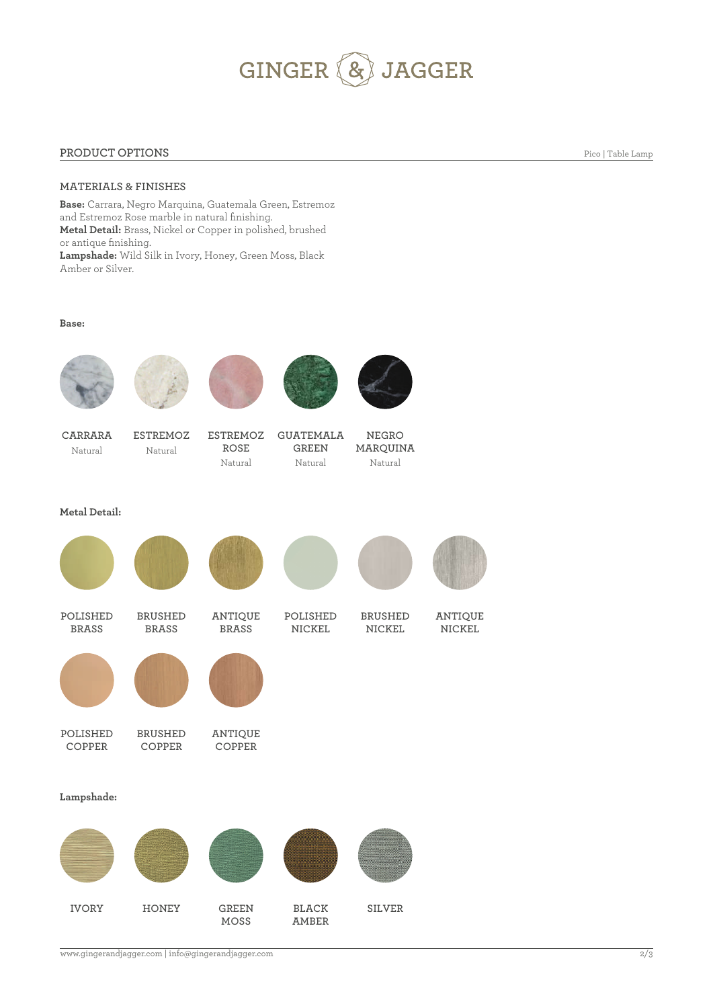# GINGER (&) JAGGER

### **PRODUCT OPTIONS**

Pico | Table Lamp

### **MATERIALS & FINISHES**

**Base:** Carrara, Negro Marquina, Guatemala Green, Estremoz and Estremoz Rose marble in natural finishing. **Metal Detail:** Brass, Nickel or Copper in polished, brushed or antique finishing. **Lampshade:** Wild Silk in Ivory, Honey, Green Moss, Black Amber or Silver.

#### **Base:**